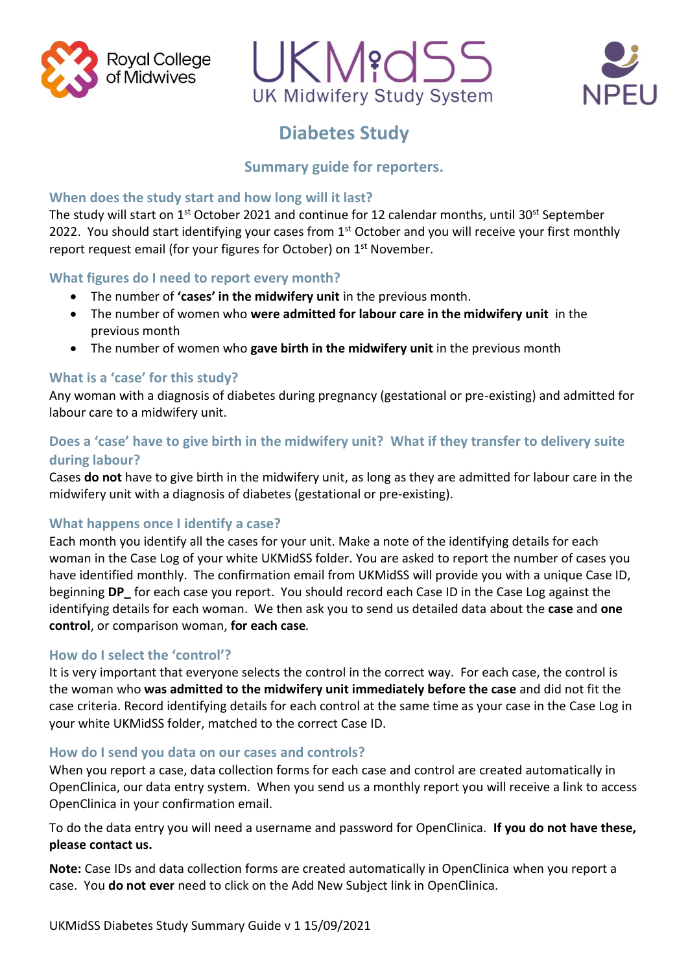





# **Diabetes Study**

## **Summary guide for reporters.**

#### **When does the study start and how long will it last?**

The study will start on 1<sup>st</sup> October 2021 and continue for 12 calendar months, until 30<sup>st</sup> September 2022. You should start identifying your cases from  $1<sup>st</sup>$  October and you will receive your first monthly report request email (for your figures for October) on 1<sup>st</sup> November.

#### **What figures do I need to report every month?**

- The number of **'cases' in the midwifery unit** in the previous month.
- The number of women who **were admitted for labour care in the midwifery unit** in the previous month
- The number of women who **gave birth in the midwifery unit** in the previous month

#### **What is a 'case' for this study?**

Any woman with a diagnosis of diabetes during pregnancy (gestational or pre-existing) and admitted for labour care to a midwifery unit.

### **Does a 'case' have to give birth in the midwifery unit? What if they transfer to delivery suite during labour?**

Cases **do not** have to give birth in the midwifery unit, as long as they are admitted for labour care in the midwifery unit with a diagnosis of diabetes (gestational or pre-existing).

#### **What happens once I identify a case?**

Each month you identify all the cases for your unit. Make a note of the identifying details for each woman in the Case Log of your white UKMidSS folder. You are asked to report the number of cases you have identified monthly. The confirmation email from UKMidSS will provide you with a unique Case ID, beginning **DP** for each case you report. You should record each Case ID in the Case Log against the identifying details for each woman. We then ask you to send us detailed data about the **case** and **one control**, or comparison woman, **for each case***.* 

#### **How do I select the 'control'?**

It is very important that everyone selects the control in the correct way. For each case, the control is the woman who **was admitted to the midwifery unit immediately before the case** and did not fit the case criteria. Record identifying details for each control at the same time as your case in the Case Log in your white UKMidSS folder, matched to the correct Case ID.

#### **How do I send you data on our cases and controls?**

When you report a case, data collection forms for each case and control are created automatically in OpenClinica, our data entry system. When you send us a monthly report you will receive a link to access OpenClinica in your confirmation email.

To do the data entry you will need a username and password for OpenClinica. **If you do not have these, please contact us.**

**Note:** Case IDs and data collection forms are created automatically in OpenClinica when you report a case. You **do not ever** need to click on the Add New Subject link in OpenClinica.